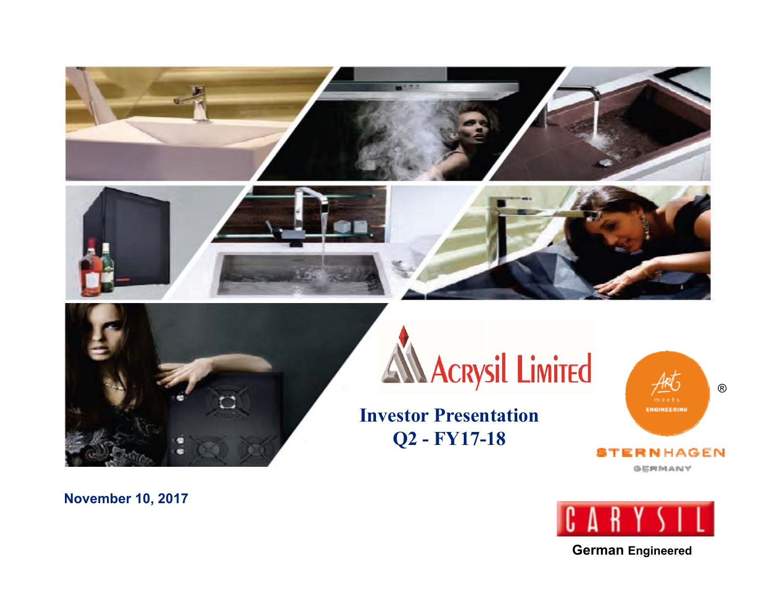





# **AN Acrysil Limited**

**Investor Presentation Q2 - FY17-18**

® **ENGINEERING** ERNHAGEN

**GERMANY** 



**German Engineered**

**November 10, 2017**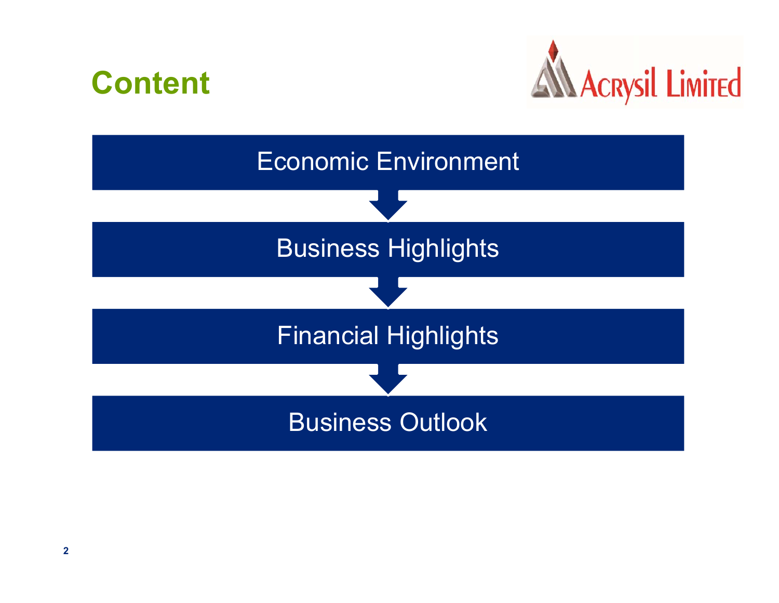



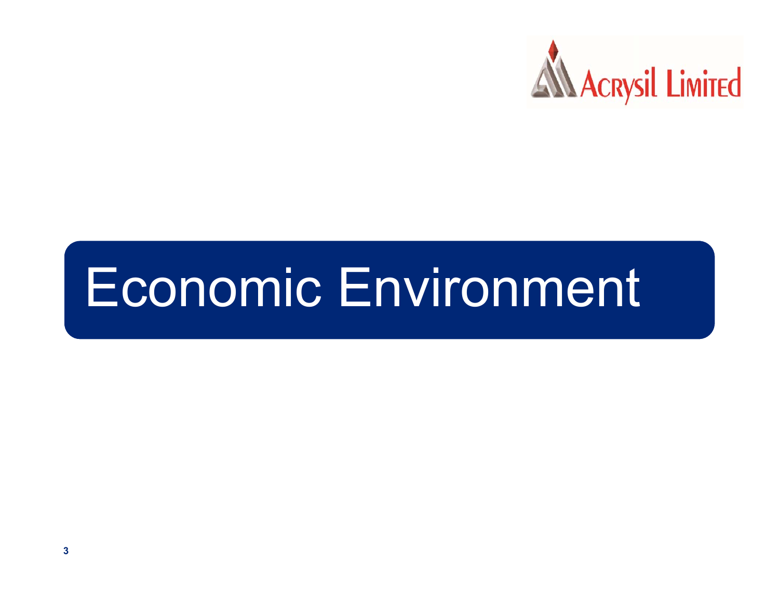

# Economic Environment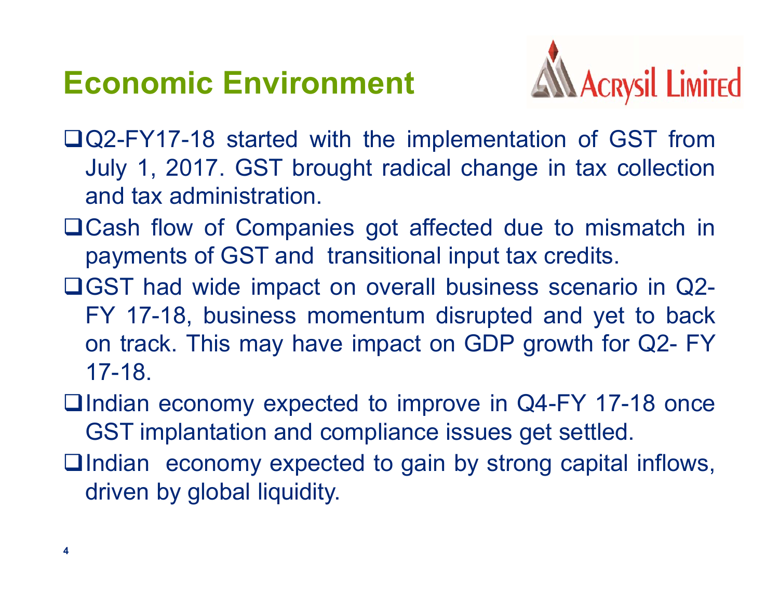## **Economic Environment**



- Q2-FY17-18 started with the implementation of GST from July 1, 2017. GST brought radical change in tax collection and tax administration.
- ■Cash flow of Companies got affected due to mismatch in payments of GST and transitional input tax credits.
- GST had wide impact on overall business scenario in Q2- FY 17-18, business momentum disrupted and yet to back on track. This may have impact on GDP growth for Q2- FY 17-18.
- $\Box$ Indian economy expected to improve in Q4-FY 17-18 once GST implantation and compliance issues get settled.
- □Indian economy expected to gain by strong capital inflows, driven by global liquidity.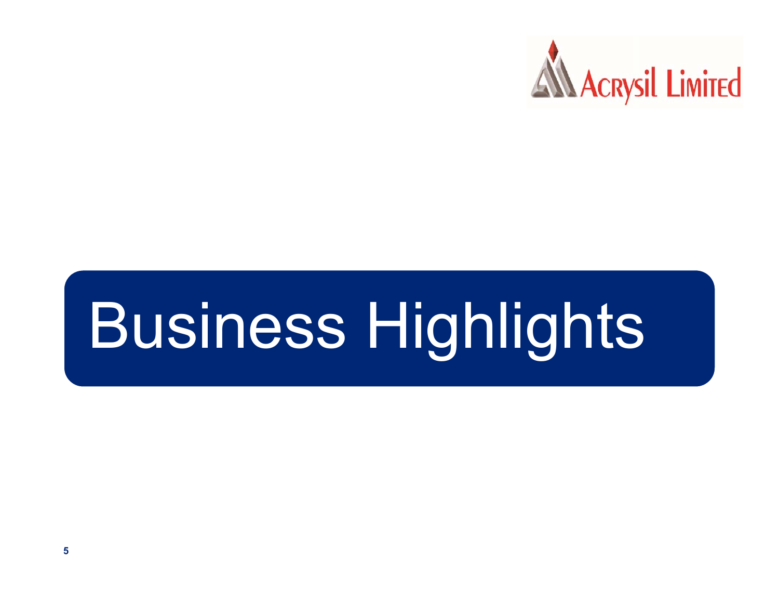

# Business Highlights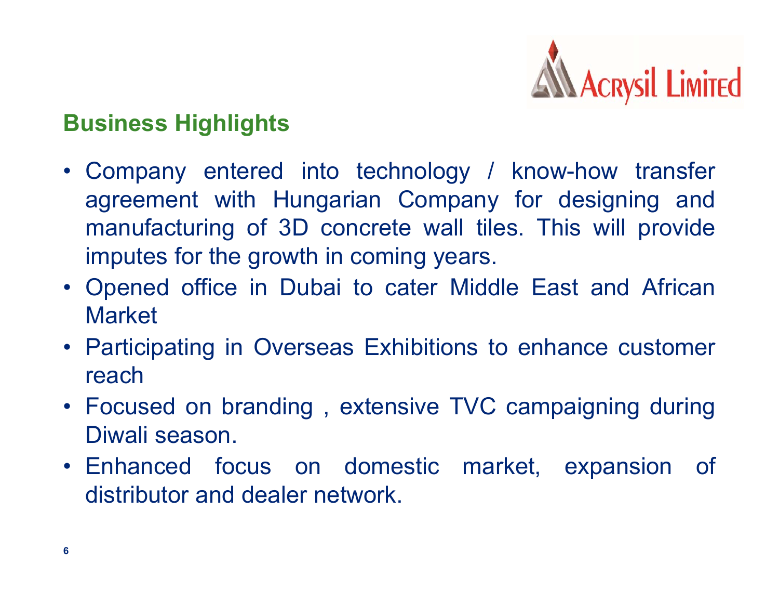

### **Business Highlights**

- Company entered into technology / know-how transfer agreement with Hungarian Company for designing and manufacturing of 3D concrete wall tiles. This will provide imputes for the growth in coming years.
- Opened office in Dubai to cater Middle East and African **Market**
- Participating in Overseas Exhibitions to enhance customer reach
- Focused on branding , extensive TVC campaigning during Diwali season.
- Enhanced focus on domestic market, expansion of distributor and dealer network.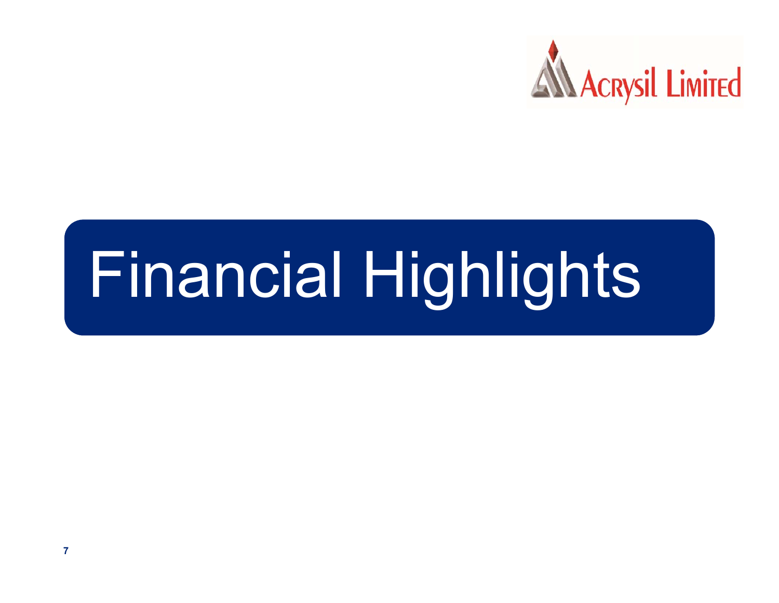

# Financial Highlights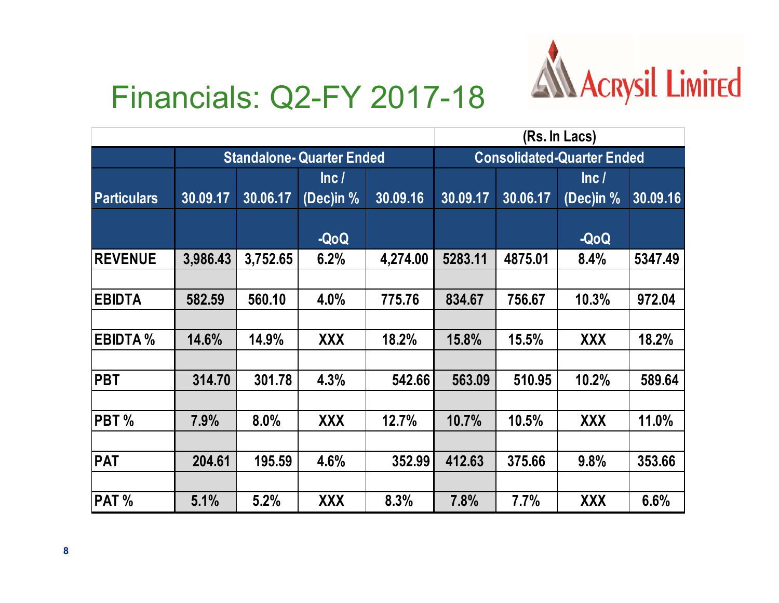

## Financials: Q2-FY 2017-18

|                            |                                  |          |            |          | (Rs. In Lacs)                     |          |            |          |
|----------------------------|----------------------------------|----------|------------|----------|-----------------------------------|----------|------------|----------|
|                            | <b>Standalone- Quarter Ended</b> |          |            |          | <b>Consolidated-Quarter Ended</b> |          |            |          |
|                            |                                  |          | lnc/       |          |                                   |          | Inc/       |          |
| <b>Particulars</b>         | 30.09.17                         | 30.06.17 | (Dec)in %  | 30.09.16 | 30.09.17                          | 30.06.17 | (Dec)in %  | 30.09.16 |
|                            |                                  |          | -QoQ       |          |                                   |          | -QoQ       |          |
| <b>REVENUE</b>             | 3,986.43                         | 3,752.65 | 6.2%       | 4,274.00 | 5283.11                           | 4875.01  | 8.4%       | 5347.49  |
|                            |                                  |          |            |          |                                   |          |            |          |
| <b>EBIDTA</b>              | 582.59                           | 560.10   | 4.0%       | 775.76   | 834.67                            | 756.67   | 10.3%      | 972.04   |
|                            |                                  |          |            |          |                                   |          |            |          |
| <b>EBIDTA</b> <sub>%</sub> | 14.6%                            | 14.9%    | <b>XXX</b> | 18.2%    | 15.8%                             | 15.5%    | <b>XXX</b> | 18.2%    |
|                            |                                  |          |            |          |                                   |          |            |          |
| <b>PBT</b>                 | 314.70                           | 301.78   | 4.3%       | 542.66   | 563.09                            | 510.95   | 10.2%      | 589.64   |
|                            |                                  |          |            |          |                                   |          |            |          |
| PBT <sub>%</sub>           | 7.9%                             | 8.0%     | <b>XXX</b> | 12.7%    | 10.7%                             | 10.5%    | <b>XXX</b> | 11.0%    |
|                            |                                  |          |            |          |                                   |          |            |          |
| <b>PAT</b>                 | 204.61                           | 195.59   | 4.6%       | 352.99   | 412.63                            | 375.66   | 9.8%       | 353.66   |
|                            |                                  |          |            |          |                                   |          |            |          |
| PAT %                      | 5.1%                             | 5.2%     | XXX        | 8.3%     | 7.8%                              | 7.7%     | XXX        | 6.6%     |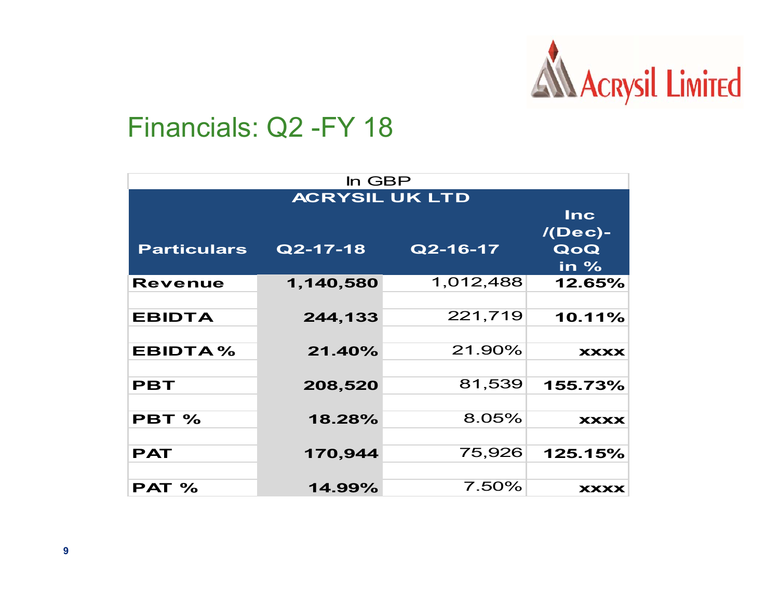

### Financials: Q2 -FY 18

| In GBP                |             |            |             |  |  |  |  |  |  |
|-----------------------|-------------|------------|-------------|--|--|--|--|--|--|
| <b>ACRYSIL UK LTD</b> |             |            |             |  |  |  |  |  |  |
|                       |             | <b>Inc</b> |             |  |  |  |  |  |  |
|                       |             |            | $/$ (Dec)-  |  |  |  |  |  |  |
| <b>Particulars</b>    | $Q$ 2-17-18 | Q2-16-17   | QoQ         |  |  |  |  |  |  |
|                       |             |            | in $%$      |  |  |  |  |  |  |
| <b>Revenue</b>        | 1,140,580   | 1,012,488  | 12.65%      |  |  |  |  |  |  |
|                       |             |            |             |  |  |  |  |  |  |
| <b>EBIDTA</b>         | 244,133     | 221,719    | 10.11%      |  |  |  |  |  |  |
|                       |             |            |             |  |  |  |  |  |  |
| EBIDTA%               | 21.40%      | 21.90%     | <b>XXXX</b> |  |  |  |  |  |  |
|                       |             |            |             |  |  |  |  |  |  |
| <b>PBT</b>            | 208,520     | 81,539     | 155.73%     |  |  |  |  |  |  |
|                       |             |            |             |  |  |  |  |  |  |
| PBT %                 | 18.28%      | 8.05%      | <b>XXXX</b> |  |  |  |  |  |  |
|                       |             |            |             |  |  |  |  |  |  |
| <b>PAT</b>            | 170,944     | 75,926     | 125.15%     |  |  |  |  |  |  |
|                       |             |            |             |  |  |  |  |  |  |
| PAT %                 | 14.99%      | 7.50%      | <b>XXXX</b> |  |  |  |  |  |  |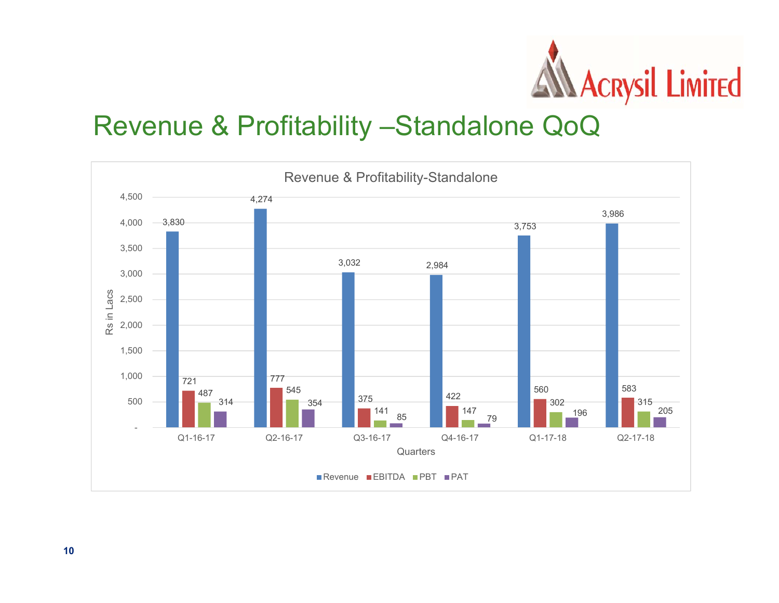

### Revenue & Profitability –Standalone QoQ

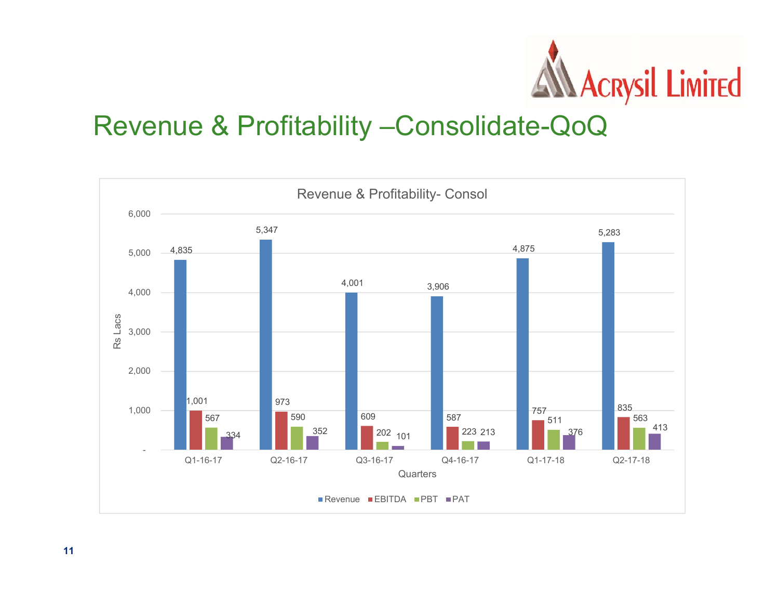

### Revenue & Profitability –Consolidate-QoQ

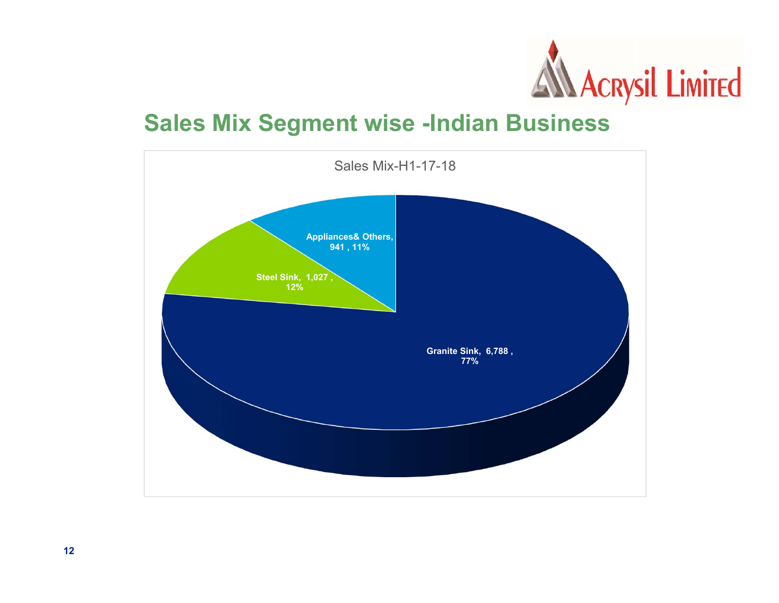

#### **Sales Mix Segment wise -Indian Business**

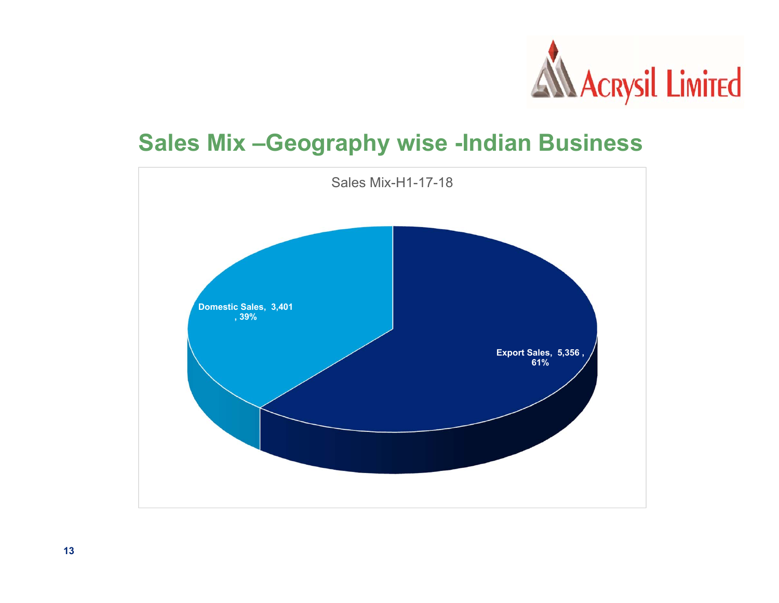

#### **Sales Mix –Geography wise -Indian Business**

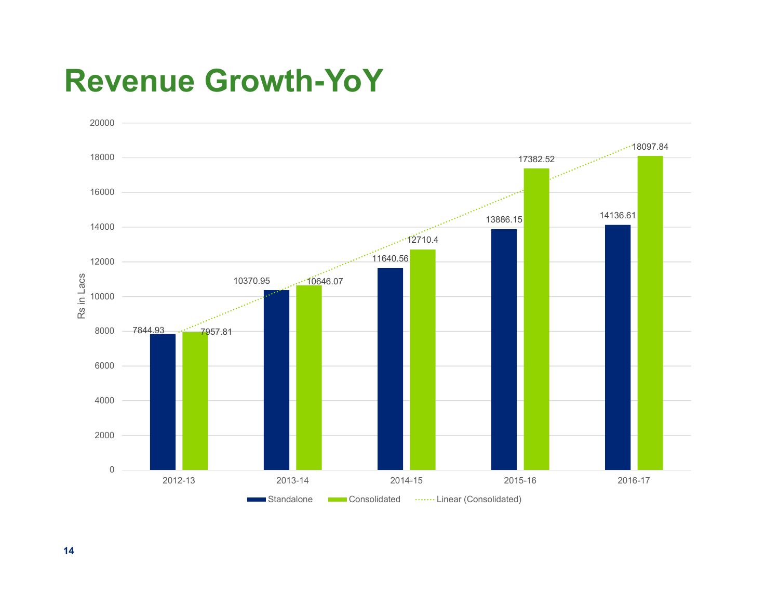## **Revenue Growth-YoY**

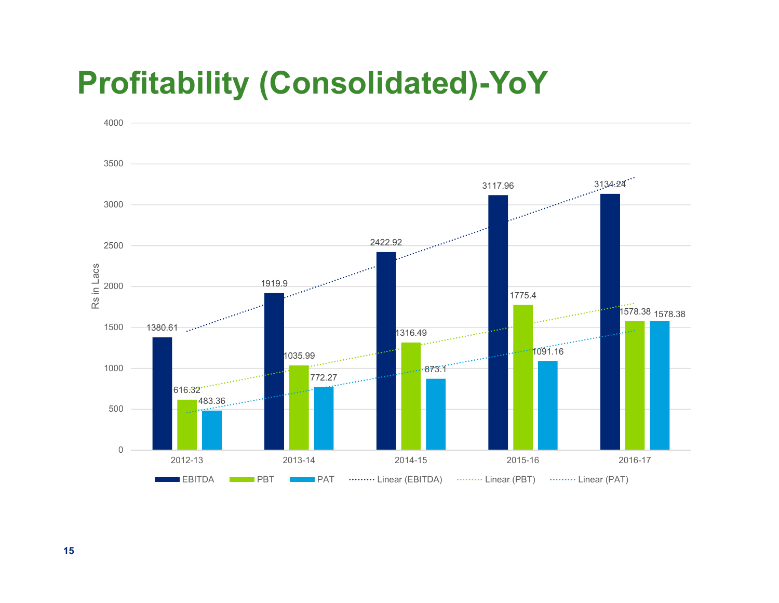## **Profitability (Consolidated)-YoY**

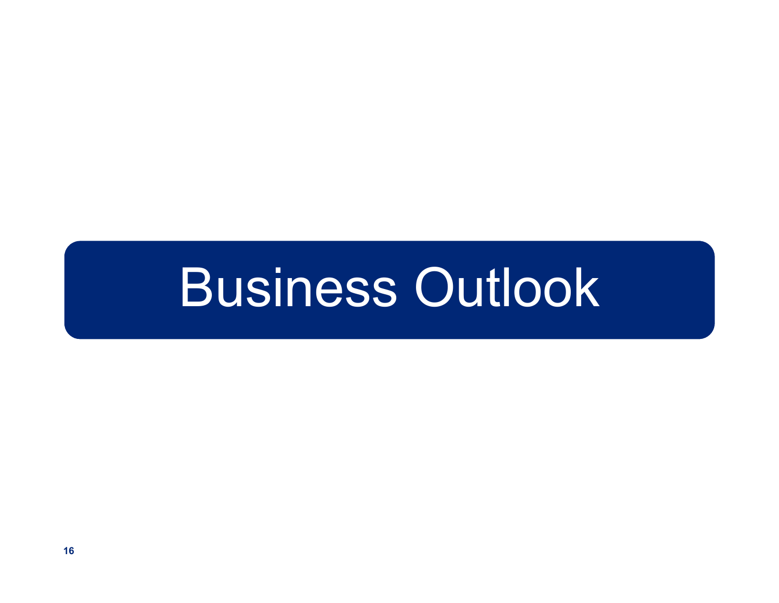## Business Outlook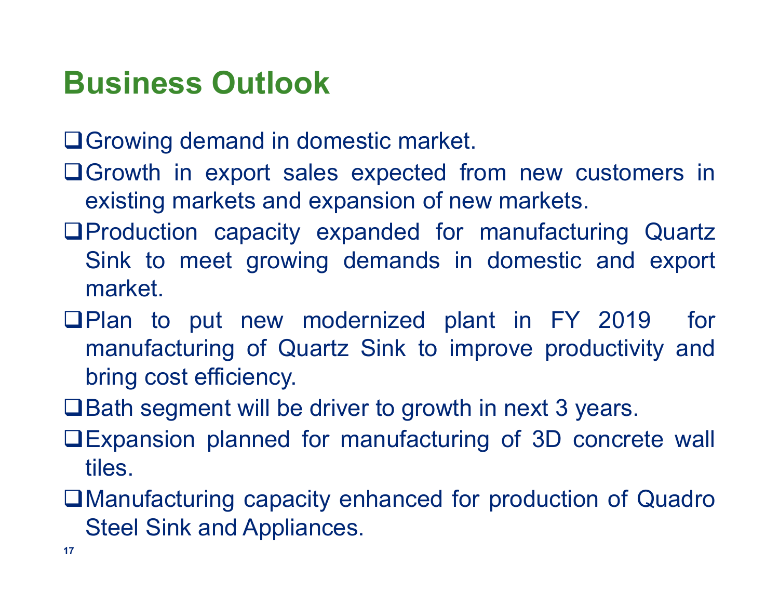## **Business Outlook**

**□ Growing demand in domestic market.** 

- Growth in export sales expected from new customers in existing markets and expansion of new markets.
- Production capacity expanded for manufacturing Quartz Sink to meet growing demands in domestic and export market.
- **QPlan to put new modernized plant in FY 2019 for** manufacturing of Quartz Sink to improve productivity and bring cost efficiency.
- **□Bath segment will be driver to growth in next 3 years.**
- Expansion planned for manufacturing of 3D concrete wall tiles.
- Manufacturing capacity enhanced for production of Quadro Steel Sink and Appliances.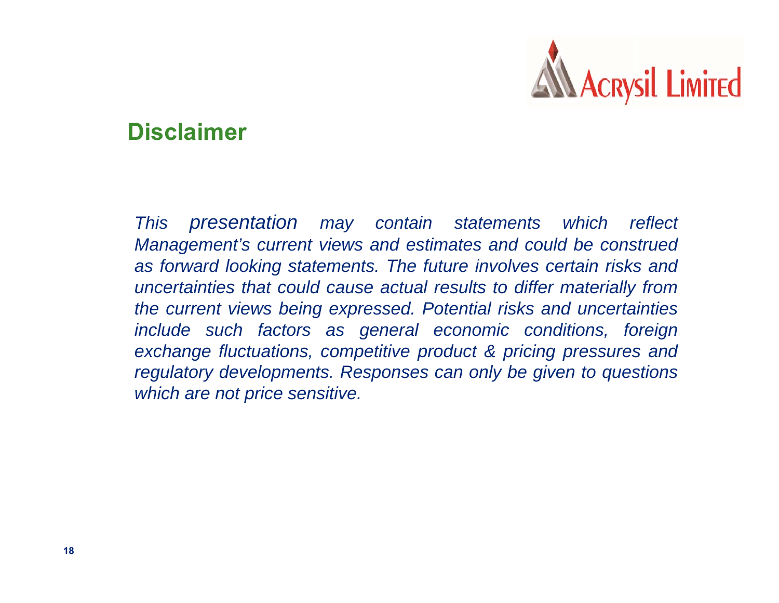

#### **Disclaimer**

*This presentation may contain statements which reflect Management's current views and estimates and could be construed as forward looking statements. The future involves certain risks and uncertainties that could cause actual results to differ materially from the current views being expressed. Potential risks and uncertainties include such factors as general economic conditions, foreign exchange fluctuations, competitive product & pricing pressures and regulatory developments. Responses can only be given to questions which are not price sensitive.*